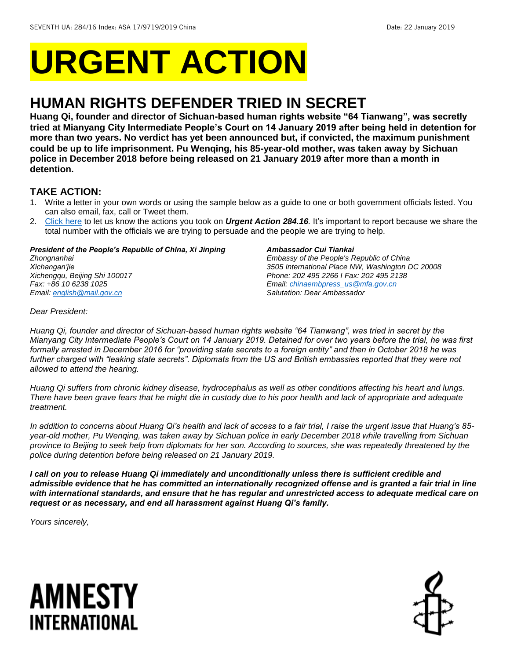# **URGENT ACTION**

## **HUMAN RIGHTS DEFENDER TRIED IN SECRET**

**Huang Qi, founder and director of Sichuan-based human rights website "64 Tianwang", was secretly tried at Mianyang City Intermediate People's Court on 14 January 2019 after being held in detention for more than two years. No verdict has yet been announced but, if convicted, the maximum punishment could be up to life imprisonment. Pu Wenqing, his 85-year-old mother, was taken away by Sichuan police in December 2018 before being released on 21 January 2019 after more than a month in detention.**

### **TAKE ACTION:**

- 1. Write a letter in your own words or using the sample below as a guide to one or both government officials listed. You can also email, fax, call or Tweet them.
- 2. [Click here](https://www.amnestyusa.org/report-urgent-actions/) to let us know the actions you took on *Urgent Action 284.16.* It's important to report because we share the total number with the officials we are trying to persuade and the people we are trying to help.

### *President of the People's Republic of China, Xi Jinping*

*Zhongnanhai Xichangan'jie Xichengqu, Beijing Shi 100017 Fax: +86 10 6238 1025 Email[: english@mail.gov.cn](mailto:english@mail.gov.cn)*

#### *Ambassador Cui Tiankai*

*Embassy of the People's Republic of China 3505 International Place NW, Washington DC 20008 Phone: 202 495 2266 I Fax: 202 495 2138 Email[: chinaembpress\\_us@mfa.gov.cn](mailto:chinaembpress_us@mfa.gov.cn) Salutation: Dear Ambassador*

*Dear President:*

*Huang Qi, founder and director of Sichuan-based human rights website "64 Tianwang", was tried in secret by the Mianyang City Intermediate People's Court on 14 January 2019. Detained for over two years before the trial, he was first formally arrested in December 2016 for "providing state secrets to a foreign entity" and then in October 2018 he was further charged with "leaking state secrets". Diplomats from the US and British embassies reported that they were not allowed to attend the hearing.* 

*Huang Qi suffers from chronic kidney disease, hydrocephalus as well as other conditions affecting his heart and lungs.*  There have been grave fears that he might die in custody due to his poor health and lack of appropriate and adequate *treatment.* 

*In addition to concerns about Huang Qi's health and lack of access to a fair trial, I raise the urgent issue that Huang's 85 year-old mother, Pu Wenqing, was taken away by Sichuan police in early December 2018 while travelling from Sichuan province to Beijing to seek help from diplomats for her son. According to sources, she was repeatedly threatened by the police during detention before being released on 21 January 2019.* 

*I call on you to release Huang Qi immediately and unconditionally unless there is sufficient credible and admissible evidence that he has committed an internationally recognized offense and is granted a fair trial in line with international standards, and ensure that he has regular and unrestricted access to adequate medical care on request or as necessary, and end all harassment against Huang Qi's family.*

*Yours sincerely,*

## AMNESTY INTERNATIONAL